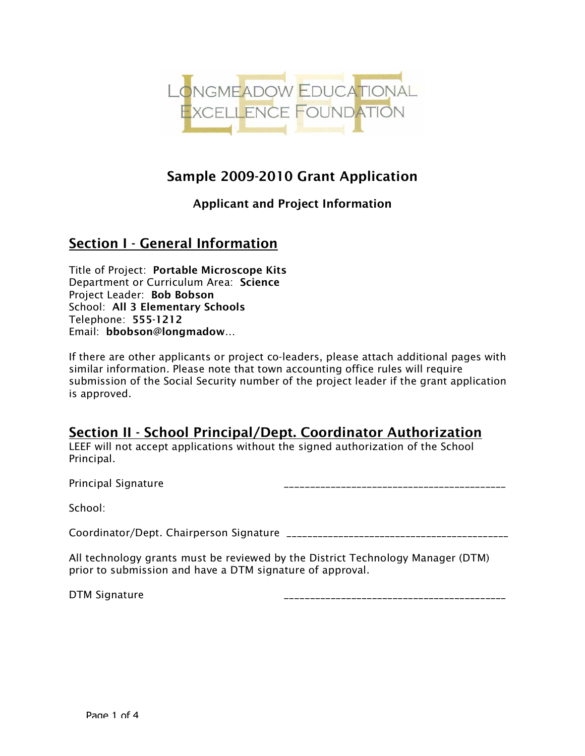

## Sample 2009-2010 Grant Application

#### Applicant and Project Information

## Section I - General Information

Title of Project: Portable Microscope Kits Department or Curriculum Area: Science Project Leader: Bob Bobson School: All 3 Elementary Schools Telephone: 555-1212 Email: bbobson@longmadow…

If there are other applicants or project co-leaders, please attach additional pages with similar information. Please note that town accounting office rules will require submission of the Social Security number of the project leader if the grant application is approved.

#### Section II - School Principal/Dept. Coordinator Authorization

LEEF will not accept applications without the signed authorization of the School Principal.

Principal Signature

School:

Coordinator/Dept. Chairperson Signature \_\_\_\_\_\_\_\_\_\_\_\_\_\_\_\_\_\_\_\_\_\_\_\_\_\_\_\_\_\_\_\_\_\_\_\_\_\_\_\_\_\_\_

All technology grants must be reviewed by the District Technology Manager (DTM) prior to submission and have a DTM signature of approval.

DTM Signature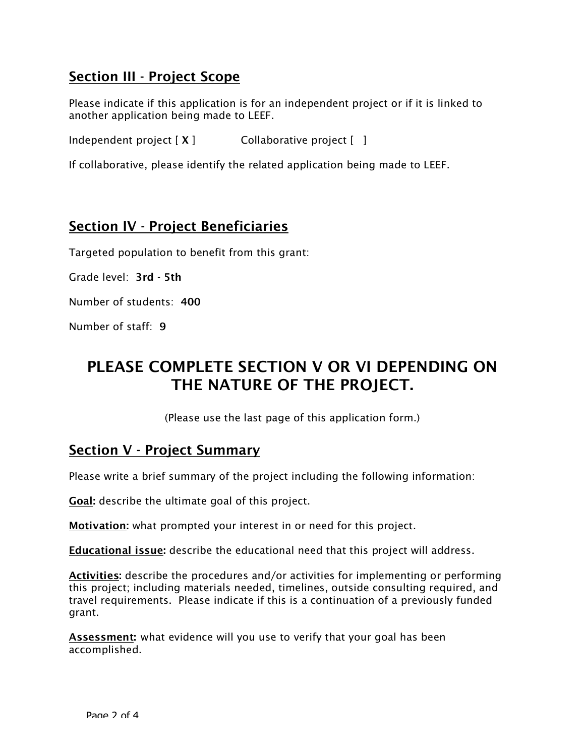## Section III - Project Scope

Please indicate if this application is for an independent project or if it is linked to another application being made to LEEF.

Independent project  $[X]$  Collaborative project  $[ ]$ 

If collaborative, please identify the related application being made to LEEF.

## Section IV - Project Beneficiaries

Targeted population to benefit from this grant:

Grade level: 3rd - 5th

Number of students: 400

Number of staff: 9

# PLEASE COMPLETE SECTION V OR VI DEPENDING ON THE NATURE OF THE PROJECT.

(Please use the last page of this application form.)

#### Section V - Project Summary

Please write a brief summary of the project including the following information:

Goal: describe the ultimate goal of this project.

Motivation: what prompted your interest in or need for this project.

**Educational issue:** describe the educational need that this project will address.

Activities: describe the procedures and/or activities for implementing or performing this project; including materials needed, timelines, outside consulting required, and travel requirements. Please indicate if this is a continuation of a previously funded grant.

Assessment: what evidence will you use to verify that your goal has been accomplished.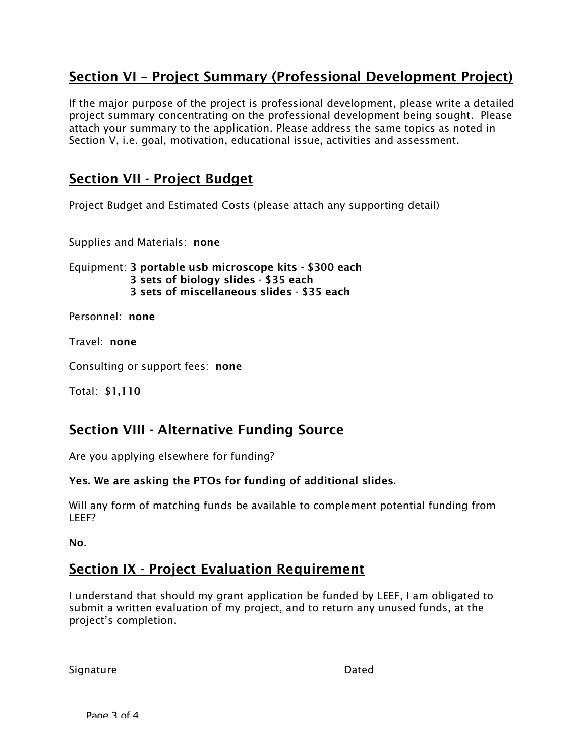## Section VI – Project Summary (Professional Development Project)

If the major purpose of the project is professional development, please write a detailed project summary concentrating on the professional development being sought. Please attach your summary to the application. Please address the same topics as noted in Section V, i.e. goal, motivation, educational issue, activities and assessment.

## Section VII - Project Budget

Project Budget and Estimated Costs (please attach any supporting detail)

Supplies and Materials: none

Equipment: 3 portable usb microscope kits - \$300 each 3 sets of biology slides - \$35 each 3 sets of miscellaneous slides - \$35 each

Personnel: none

Travel: none

Consulting or support fees: none

Total: \$1,110

#### Section VIII - Alternative Funding Source

Are you applying elsewhere for funding?

#### Yes. We are asking the PTOs for funding of additional slides.

Will any form of matching funds be available to complement potential funding from LEEF?

No.

#### Section IX - Project Evaluation Requirement

I understand that should my grant application be funded by LEEF, I am obligated to submit a written evaluation of my project, and to return any unused funds, at the project's completion.

Signature Dated